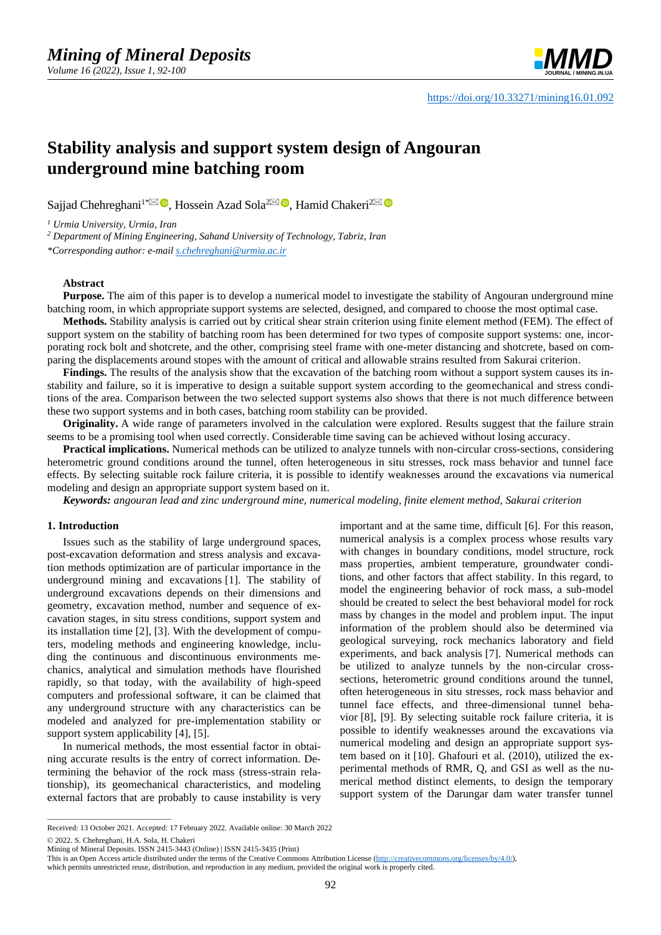

# **Stability analysis and support system design of Angouran underground mine batching room**

Sajjad Chehreghani<sup>1[\\*](mailto:s.chehreghani@urmia.ac.ir)⊠ (D</sup>[,](https://orcid.org/0000-0002-6087-9892) Hossein Azad Sola<sup>[2](mailto:chakeri@sut.ac.ir)⊠ (D</sup>, Hamid Chakeri<sup>2</sup>

*<sup>1</sup> Urmia University, Urmia, Iran*

*<sup>2</sup> Department of Mining Engineering, Sahand University of Technology, Tabriz, Iran*

*\*Corresponding author: e-mail [s.chehreghani@urmia.ac.ir](mailto:s.chehreghani@urmia.ac.ir)*

## **Abstract**

**Purpose.** The aim of this paper is to develop a numerical model to investigate the stability of Angouran underground mine batching room, in which appropriate support systems are selected, designed, and compared to choose the most optimal case.

**Methods.** Stability analysis is carried out by critical shear strain criterion using finite element method (FEM). The effect of support system on the stability of batching room has been determined for two types of composite support systems: one, incorporating rock bolt and shotcrete, and the other, comprising steel frame with one-meter distancing and shotcrete, based on comparing the displacements around stopes with the amount of critical and allowable strains resulted from Sakurai criterion.

**Findings.** The results of the analysis show that the excavation of the batching room without a support system causes its instability and failure, so it is imperative to design a suitable support system according to the geomechanical and stress conditions of the area. Comparison between the two selected support systems also shows that there is not much difference between these two support systems and in both cases, batching room stability can be provided.

**Originality.** A wide range of parameters involved in the calculation were explored. Results suggest that the failure strain seems to be a promising tool when used correctly. Considerable time saving can be achieved without losing accuracy.

**Practical implications.** Numerical methods can be utilized to analyze tunnels with non-circular cross-sections, considering heterometric ground conditions around the tunnel, often heterogeneous in situ stresses, rock mass behavior and tunnel face effects. By selecting suitable rock failure criteria, it is possible to identify weaknesses around the excavations via numerical modeling and design an appropriate support system based on it.

*Keywords: angouran lead and zinc underground mine, numerical modeling, finite element method, Sakurai criterion*

#### **1. Introduction**

Issues such as the stability of large underground spaces, post-excavation deformation and stress analysis and excavation methods optimization are of particular importance in the underground mining and excavations [\[1\].](#page-7-0) The stability of underground excavations depends on their dimensions and geometry, excavation method, number and sequence of excavation stages, in situ stress conditions, support system and its installation time [\[2\],](#page-7-1) [\[3\].](#page-7-2) With the development of computers, modeling methods and engineering knowledge, including the continuous and discontinuous environments mechanics, analytical and simulation methods have flourished rapidly, so that today, with the availability of high-speed computers and professional software, it can be claimed that any underground structure with any characteristics can be modeled and analyzed for pre-implementation stability or support system applicability [\[4\],](#page-7-3) [\[5\].](#page-7-4)

In numerical methods, the most essential factor in obtaining accurate results is the entry of correct information. Determining the behavior of the rock mass (stress-strain relationship), its geomechanical characteristics, and modeling external factors that are probably to cause instability is very important and at the same time, difficult [\[6\].](#page-7-5) For this reason, numerical analysis is a complex process whose results vary with changes in boundary conditions, model structure, rock mass properties, ambient temperature, groundwater conditions, and other factors that affect stability. In this regard, to model the engineering behavior of rock mass, a sub-model should be created to select the best behavioral model for rock mass by changes in the model and problem input. The input information of the problem should also be determined via geological surveying, rock mechanics laboratory and field experiments, and back analysis [\[7\].](#page-7-6) Numerical methods can be utilized to analyze tunnels by the non-circular crosssections, heterometric ground conditions around the tunnel, often heterogeneous in situ stresses, rock mass behavior and tunnel face effects, and three-dimensional tunnel behavior [\[8\],](#page-7-7) [\[9\].](#page-7-8) By selecting suitable rock failure criteria, it is possible to identify weaknesses around the excavations via numerical modeling and design an appropriate support system based on it [\[10\].](#page-7-9) Ghafouri et al. (2010), utilized the experimental methods of RMR, Q, and GSI as well as the numerical method distinct elements, to design the temporary support system of the Darungar dam water transfer tunnel

© 2022. S. Chehreghani, H.A. Sola, H. Chakeri

 $\overline{\phantom{a}}$  ,  $\overline{\phantom{a}}$  ,  $\overline{\phantom{a}}$  ,  $\overline{\phantom{a}}$  ,  $\overline{\phantom{a}}$  ,  $\overline{\phantom{a}}$  ,  $\overline{\phantom{a}}$  ,  $\overline{\phantom{a}}$  ,  $\overline{\phantom{a}}$  ,  $\overline{\phantom{a}}$  ,  $\overline{\phantom{a}}$  ,  $\overline{\phantom{a}}$  ,  $\overline{\phantom{a}}$  ,  $\overline{\phantom{a}}$  ,  $\overline{\phantom{a}}$  ,  $\overline{\phantom{a}}$ 

Received: 13 October 2021. Accepted: 17 February 2022. Available online: 30 March 2022

Mining of Mineral Deposits. ISSN 2415-3443 (Online) | ISSN 2415-3435 (Print)

This is an Open Access article distributed under the terms of the Creative Commons Attribution License [\(http://creativecommons.org/licenses/by/4.0/\)](http://creativecommons.org/licenses/by/4.0/),

which permits unrestricted reuse, distribution, and reproduction in any medium, provided the original work is properly cited.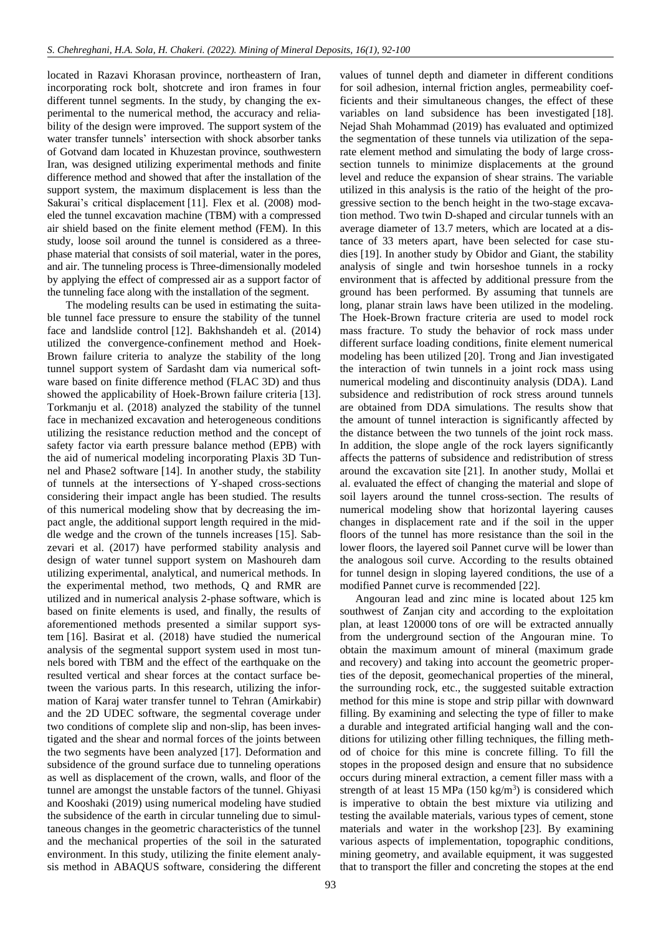located in Razavi Khorasan province, northeastern of Iran, incorporating rock bolt, shotcrete and iron frames in four different tunnel segments. In the study, by changing the experimental to the numerical method, the accuracy and reliability of the design were improved. The support system of the water transfer tunnels' intersection with shock absorber tanks of Gotvand dam located in Khuzestan province, southwestern Iran, was designed utilizing experimental methods and finite difference method and showed that after the installation of the support system, the maximum displacement is less than the Sakurai's critical displacement [\[11\].](#page-7-10) Flex et al. (2008) modeled the tunnel excavation machine (TBM) with a compressed air shield based on the finite element method (FEM). In this study, loose soil around the tunnel is considered as a threephase material that consists of soil material, water in the pores, and air. The tunneling process is Three-dimensionally modeled by applying the effect of compressed air as a support factor of the tunneling face along with the installation of the segment.

The modeling results can be used in estimating the suitable tunnel face pressure to ensure the stability of the tunnel face and landslide control [\[12\].](#page-8-0) Bakhshandeh et al. (2014) utilized the convergence-confinement method and Hoek-Brown failure criteria to analyze the stability of the long tunnel support system of Sardasht dam via numerical software based on finite difference method (FLAC 3D) and thus showed the applicability of Hoek-Brown failure criteria [\[13\].](#page-8-1) Torkmanju et al. (2018) analyzed the stability of the tunnel face in mechanized excavation and heterogeneous conditions utilizing the resistance reduction method and the concept of safety factor via earth pressure balance method (EPB) with the aid of numerical modeling incorporating Plaxis 3D Tunnel and Phase2 software [\[14\].](#page-8-2) In another study, the stability of tunnels at the intersections of Y-shaped cross-sections considering their impact angle has been studied. The results of this numerical modeling show that by decreasing the impact angle, the additional support length required in the middle wedge and the crown of the tunnels increases [\[15\].](#page-8-3) Sabzevari et al. (2017) have performed stability analysis and design of water tunnel support system on Mashoureh dam utilizing experimental, analytical, and numerical methods. In the experimental method, two methods, Q and RMR are utilized and in numerical analysis 2-phase software, which is based on finite elements is used, and finally, the results of aforementioned methods presented a similar support system [\[16\].](#page-8-4) Basirat et al. (2018) have studied the numerical analysis of the segmental support system used in most tunnels bored with TBM and the effect of the earthquake on the resulted vertical and shear forces at the contact surface between the various parts. In this research, utilizing the information of Karaj water transfer tunnel to Tehran (Amirkabir) and the 2D UDEC software, the segmental coverage under two conditions of complete slip and non-slip, has been investigated and the shear and normal forces of the joints between the two segments have been analyzed [\[17\].](#page-8-5) Deformation and subsidence of the ground surface due to tunneling operations as well as displacement of the crown, walls, and floor of the tunnel are amongst the unstable factors of the tunnel. Ghiyasi and Kooshaki (2019) using numerical modeling have studied the subsidence of the earth in circular tunneling due to simultaneous changes in the geometric characteristics of the tunnel and the mechanical properties of the soil in the saturated environment. In this study, utilizing the finite element analysis method in ABAQUS software, considering the different values of tunnel depth and diameter in different conditions for soil adhesion, internal friction angles, permeability coefficients and their simultaneous changes, the effect of these variables on land subsidence has been investigated [\[18\].](#page-8-6) Nejad Shah Mohammad (2019) has evaluated and optimized the segmentation of these tunnels via utilization of the separate element method and simulating the body of large crosssection tunnels to minimize displacements at the ground level and reduce the expansion of shear strains. The variable utilized in this analysis is the ratio of the height of the progressive section to the bench height in the two-stage excavation method. Two twin D-shaped and circular tunnels with an average diameter of 13.7 meters, which are located at a distance of 33 meters apart, have been selected for case studies [\[19\].](#page-8-7) In another study by Obidor and Giant, the stability analysis of single and twin horseshoe tunnels in a rocky environment that is affected by additional pressure from the ground has been performed. By assuming that tunnels are long, planar strain laws have been utilized in the modeling. The Hoek-Brown fracture criteria are used to model rock mass fracture. To study the behavior of rock mass under different surface loading conditions, finite element numerical modeling has been utilized [\[20\].](#page-8-8) Trong and Jian investigated the interaction of twin tunnels in a joint rock mass using numerical modeling and discontinuity analysis (DDA). Land subsidence and redistribution of rock stress around tunnels are obtained from DDA simulations. The results show that the amount of tunnel interaction is significantly affected by the distance between the two tunnels of the joint rock mass. In addition, the slope angle of the rock layers significantly affects the patterns of subsidence and redistribution of stress around the excavation site [\[21\].](#page-8-9) In another study, Mollai et al. evaluated the effect of changing the material and slope of soil layers around the tunnel cross-section. The results of numerical modeling show that horizontal layering causes changes in displacement rate and if the soil in the upper floors of the tunnel has more resistance than the soil in the lower floors, the layered soil Pannet curve will be lower than the analogous soil curve. According to the results obtained for tunnel design in sloping layered conditions, the use of a modified Pannet curve is recommended [\[22\].](#page-8-10)

Angouran lead and zinc mine is located about 125 km southwest of Zanjan city and according to the exploitation plan, at least 120000 tons of ore will be extracted annually from the underground section of the Angouran mine. To obtain the maximum amount of mineral (maximum grade and recovery) and taking into account the geometric properties of the deposit, geomechanical properties of the mineral, the surrounding rock, etc., the suggested suitable extraction method for this mine is stope and strip pillar with downward filling. By examining and selecting the type of filler to make a durable and integrated artificial hanging wall and the conditions for utilizing other filling techniques, the filling method of choice for this mine is concrete filling. To fill the stopes in the proposed design and ensure that no subsidence occurs during mineral extraction, a cement filler mass with a strength of at least 15 MPa  $(150 \text{ kg/m}^3)$  is considered which is imperative to obtain the best mixture via utilizing and testing the available materials, various types of cement, stone materials and water in the workshop [\[23\].](#page-8-11) By examining various aspects of implementation, topographic conditions, mining geometry, and available equipment, it was suggested that to transport the filler and concreting the stopes at the end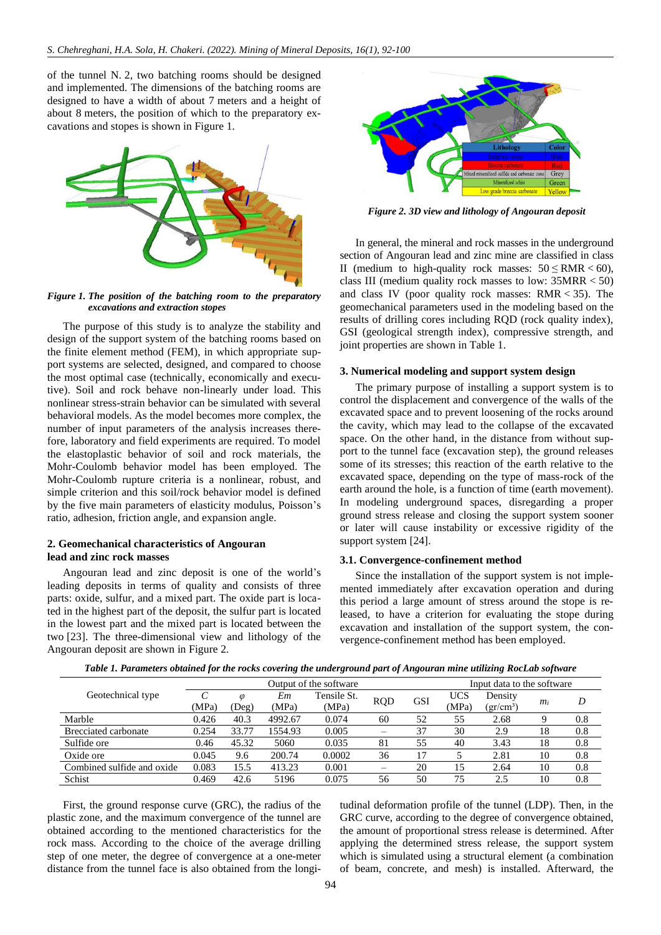of the tunnel N. 2, two batching rooms should be designed and implemented. The dimensions of the batching rooms are designed to have a width of about 7 meters and a height of about 8 meters, the position of which to the preparatory excavations and stopes is shown in Figure 1.



*Figure 1. The position of the batching room to the preparatory excavations and extraction stopes*

The purpose of this study is to analyze the stability and design of the support system of the batching rooms based on the finite element method (FEM), in which appropriate support systems are selected, designed, and compared to choose the most optimal case (technically, economically and executive). Soil and rock behave non-linearly under load. This nonlinear stress-strain behavior can be simulated with several behavioral models. As the model becomes more complex, the number of input parameters of the analysis increases therefore, laboratory and field experiments are required. To model the elastoplastic behavior of soil and rock materials, the Mohr-Coulomb behavior model has been employed. The Mohr-Coulomb rupture criteria is a nonlinear, robust, and simple criterion and this soil/rock behavior model is defined by the five main parameters of elasticity modulus, Poisson's ratio, adhesion, friction angle, and expansion angle.

## **2. Geomechanical characteristics of Angouran lead and zinc rock masses**

Angouran lead and zinc deposit is one of the world's leading deposits in terms of quality and consists of three parts: oxide, sulfur, and a mixed part. The oxide part is located in the highest part of the deposit, the sulfur part is located in the lowest part and the mixed part is located between the two [\[23\].](#page-8-11) The three-dimensional view and lithology of the Angouran deposit are shown in Figure 2.



*Figure 2. 3D view and lithology of Angouran deposit*

In general, the mineral and rock masses in the underground section of Angouran lead and zinc mine are classified in class II (medium to high-quality rock masses:  $50 \leq RMR < 60$ ), class III (medium quality rock masses to low: 35MRR < 50) and class IV (poor quality rock masses:  $RMR < 35$ ). The geomechanical parameters used in the modeling based on the results of drilling cores including RQD (rock quality index), GSI (geological strength index), compressive strength, and joint properties are shown in Table 1.

## **3. Numerical modeling and support system design**

The primary purpose of installing a support system is to control the displacement and convergence of the walls of the excavated space and to prevent loosening of the rocks around the cavity, which may lead to the collapse of the excavated space. On the other hand, in the distance from without support to the tunnel face (excavation step), the ground releases some of its stresses; this reaction of the earth relative to the excavated space, depending on the type of mass-rock of the earth around the hole, is a function of time (earth movement). In modeling underground spaces, disregarding a proper ground stress release and closing the support system sooner or later will cause instability or excessive rigidity of the support system [\[24\].](#page-8-12)

## **3.1. Convergence-confinement method**

Since the installation of the support system is not implemented immediately after excavation operation and during this period a large amount of stress around the stope is released, to have a criterion for evaluating the stope during excavation and installation of the support system, the convergence-confinement method has been employed.

|                            | Output of the software |          |         |             |                          | Input data to the software |            |           |    |     |
|----------------------------|------------------------|----------|---------|-------------|--------------------------|----------------------------|------------|-----------|----|-----|
| Geotechnical type          |                        | $\omega$ | Em      | Tensile St. |                          | <b>GSI</b>                 | <b>UCS</b> | Density   |    | D   |
|                            | (MPa)                  | (Deg)    | (MPa)   | (MPa)       | <b>RQD</b>               |                            | (MPa)      | $gr/cm^3$ | mi |     |
| Marble                     | 0.426                  | 40.3     | 4992.67 | 0.074       | 60                       | 52                         | 55         | 2.68      |    | 0.8 |
| Brecciated carbonate       | 0.254                  | 33.77    | 1554.93 | 0.005       | $\equiv$                 | 37                         | 30         | 2.9       | 18 | 0.8 |
| Sulfide ore                | 0.46                   | 45.32    | 5060    | 0.035       | 81                       | 55                         | 40         | 3.43      | 18 | 0.8 |
| Oxide ore                  | 0.045                  | 9.6      | 200.74  | 0.0002      | 36                       | 17                         |            | 2.81      | 10 | 0.8 |
| Combined sulfide and oxide | 0.083                  | 15.5     | 413.23  | 0.001       | $\overline{\phantom{0}}$ | 20                         | 15         | 2.64      | 10 | 0.8 |
| Schist                     | 0.469                  | 42.6     | 5196    | 0.075       | 56                       | 50                         | 75         | 2.5       | 10 | 0.8 |

First, the ground response curve (GRC), the radius of the plastic zone, and the maximum convergence of the tunnel are obtained according to the mentioned characteristics for the rock mass. According to the choice of the average drilling step of one meter, the degree of convergence at a one-meter distance from the tunnel face is also obtained from the longitudinal deformation profile of the tunnel (LDP). Then, in the GRC curve, according to the degree of convergence obtained, the amount of proportional stress release is determined. After applying the determined stress release, the support system which is simulated using a structural element (a combination of beam, concrete, and mesh) is installed. Afterward, the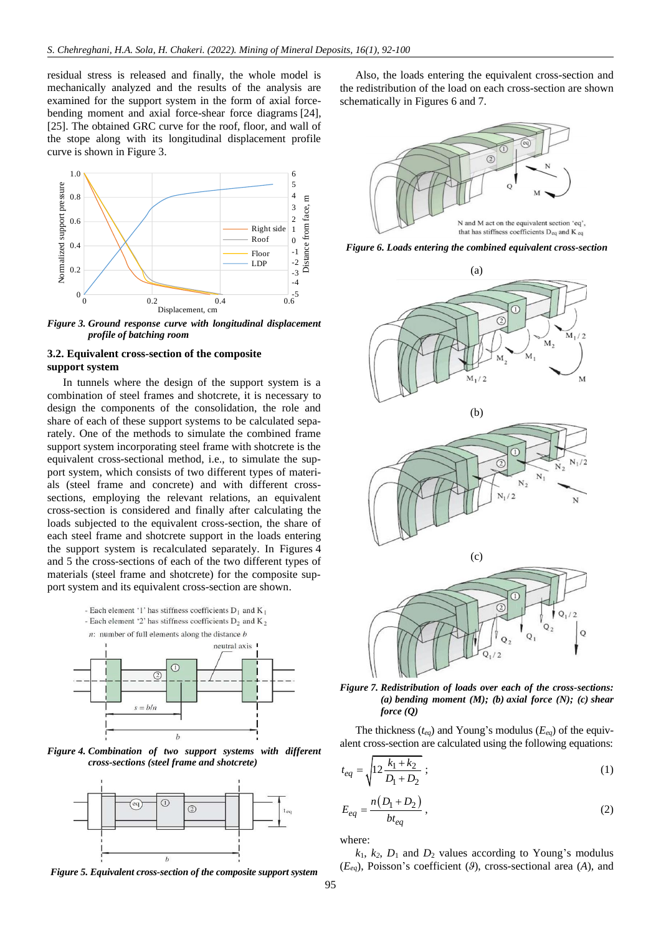residual stress is released and finally, the whole model is mechanically analyzed and the results of the analysis are examined for the support system in the form of axial forcebending moment and axial force-shear force diagrams [\[24\],](#page-8-12) [\[25\].](#page-8-13) The obtained GRC curve for the roof, floor, and wall of the stope along with its longitudinal displacement profile curve is shown in Figure 3.



*Figure 3. Ground response curve with longitudinal displacement profile of batching room*

## **3.2. Equivalent cross-section of the composite support system**

In tunnels where the design of the support system is a combination of steel frames and shotcrete, it is necessary to design the components of the consolidation, the role and share of each of these support systems to be calculated separately. One of the methods to simulate the combined frame support system incorporating steel frame with shotcrete is the equivalent cross-sectional method, i.e., to simulate the support system, which consists of two different types of materials (steel frame and concrete) and with different crosssections, employing the relevant relations, an equivalent cross-section is considered and finally after calculating the loads subjected to the equivalent cross-section, the share of each steel frame and shotcrete support in the loads entering the support system is recalculated separately. In Figures 4 and 5 the cross-sections of each of the two different types of materials (steel frame and shotcrete) for the composite support system and its equivalent cross-section are shown.



*Figure 4. Combination of two support systems with different cross-sections (steel frame and shotcrete)*



*Figure 5. Equivalent cross-section of the composite support system*

Also, the loads entering the equivalent cross-section and the redistribution of the load on each cross-section are shown schematically in Figures 6 and 7.



*Figure 6. Loads entering the combined equivalent cross-section*





The thickness (*teq*) and Young's modulus (*Eeq*) of the equivalent cross-section are calculated using the following equations:

$$
t_{eq} = \sqrt{12 \frac{k_1 + k_2}{D_1 + D_2}} \tag{1}
$$

$$
E_{eq} = \frac{n(D_1 + D_2)}{bt_{eq}}\,,\tag{2}
$$

where:

 $k_1$ ,  $k_2$ ,  $D_1$  and  $D_2$  values according to Young's modulus (*Eeq*), Poisson's coefficient (*ϑ*), cross-sectional area (*A*), and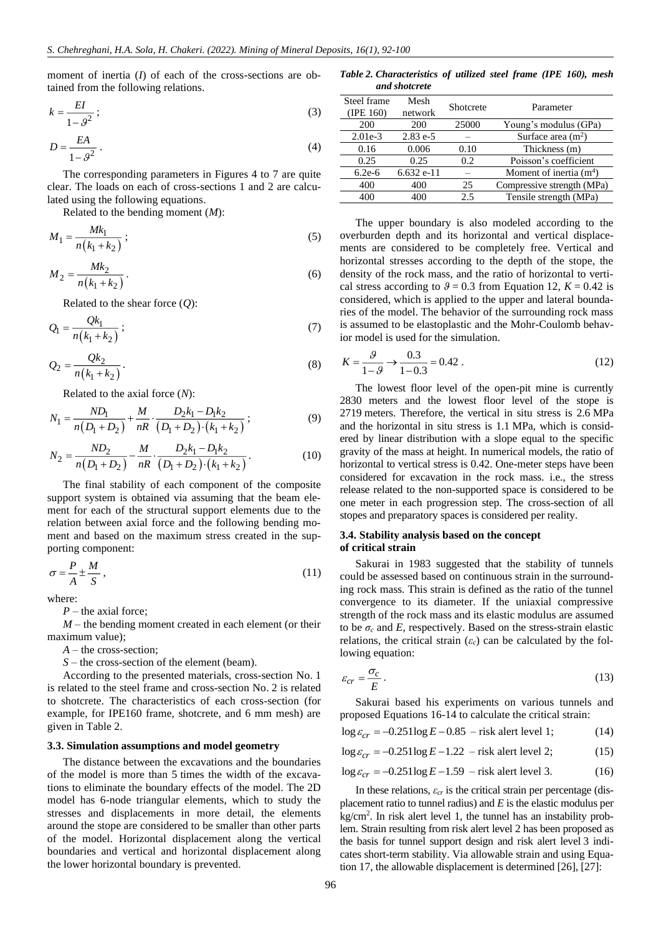moment of inertia (*I*) of each of the cross-sections are obtained from the following relations.

$$
k = \frac{EI}{1 - \vartheta^2} \tag{3}
$$

$$
D = \frac{EA}{1 - \vartheta^2} \,. \tag{4}
$$

The corresponding parameters in Figures 4 to 7 are quite clear. The loads on each of cross-sections 1 and 2 are calculated using the following equations.

Related to the bending moment (*M*):

$$
M_1 = \frac{Mk_1}{n(k_1 + k_2)}; \tag{5}
$$

$$
M_2 = \frac{Mk_2}{n(k_1 + k_2)}.
$$
\n(6)

Related to the shear force (*Q*):

$$
Q_1 = \frac{Qk_1}{n(k_1 + k_2)}\tag{7}
$$

$$
Q_2 = \frac{Qk_2}{n(k_1 + k_2)}.
$$
\n(8)

Related to the axial force (*N*):

$$
N_1 = \frac{ND_1}{n(D_1 + D_2)} + \frac{M}{nR} \cdot \frac{D_2 k_1 - D_1 k_2}{(D_1 + D_2) \cdot (k_1 + k_2)};
$$
\n(9)

$$
N_2 = \frac{ND_2}{n(D_1 + D_2)} - \frac{M}{nR} \cdot \frac{D_2 k_1 - D_1 k_2}{(D_1 + D_2) \cdot (k_1 + k_2)}.
$$
 (10)

The final stability of each component of the composite support system is obtained via assuming that the beam element for each of the structural support elements due to the relation between axial force and the following bending moment and based on the maximum stress created in the supporting component:

$$
\sigma = \frac{P}{A} \pm \frac{M}{S} \,,\tag{11}
$$

where:

*P* – the axial force;

*M* – the bending moment created in each element (or their maximum value);

*A* – the cross-section;

*S* – the cross-section of the element (beam).

According to the presented materials, cross-section No. 1 is related to the steel frame and cross-section No. 2 is related to shotcrete. The characteristics of each cross-section (for example, for IPE160 frame, shotcrete, and 6 mm mesh) are given in Table 2.

## **3.3. Simulation assumptions and model geometry**

The distance between the excavations and the boundaries of the model is more than 5 times the width of the excavations to eliminate the boundary effects of the model. The 2D model has 6-node triangular elements, which to study the stresses and displacements in more detail, the elements around the stope are considered to be smaller than other parts of the model. Horizontal displacement along the vertical boundaries and vertical and horizontal displacement along the lower horizontal boundary is prevented.

*Table 2. Characteristics of utilized steel frame (IPE 160), mesh and shotcrete*

| Steel frame<br>$($ IPE 160 $)$ | Mesh<br>network | Shotcrete | Parameter                  |
|--------------------------------|-----------------|-----------|----------------------------|
| 200                            | 200             | 25000     | Young's modulus (GPa)      |
| $2.01e-3$                      | $2.83 e-5$      |           | Surface area $(m2)$        |
| 0.16                           | 0.006           | 0.10      | Thickness (m)              |
| 0.25                           | 0.25            | 0.2       | Poisson's coefficient      |
| $6.2e-6$                       | $6.632$ e-11    |           | Moment of inertia $(m4)$   |
| 400                            | 400             | 25        | Compressive strength (MPa) |
| 400                            | 400             | 2.5       | Tensile strength (MPa)     |

The upper boundary is also modeled according to the overburden depth and its horizontal and vertical displacements are considered to be completely free. Vertical and horizontal stresses according to the depth of the stope, the density of the rock mass, and the ratio of horizontal to vertical stress according to  $\theta = 0.3$  from Equation 12,  $K = 0.42$  is considered, which is applied to the upper and lateral boundaries of the model. The behavior of the surrounding rock mass is assumed to be elastoplastic and the Mohr-Coulomb behavior model is used for the simulation.

$$
K = \frac{9}{1 - 9} \to \frac{0.3}{1 - 0.3} = 0.42
$$
 (12)

The lowest floor level of the open-pit mine is currently 2830 meters and the lowest floor level of the stope is 2719 meters. Therefore, the vertical in situ stress is 2.6 MPa and the horizontal in situ stress is 1.1 MPa, which is considered by linear distribution with a slope equal to the specific gravity of the mass at height. In numerical models, the ratio of horizontal to vertical stress is 0.42. One-meter steps have been considered for excavation in the rock mass. i.e., the stress release related to the non-supported space is considered to be one meter in each progression step. The cross-section of all stopes and preparatory spaces is considered per reality.

## **3.4. Stability analysis based on the concept of critical strain**

Sakurai in 1983 suggested that the stability of tunnels could be assessed based on continuous strain in the surrounding rock mass. This strain is defined as the ratio of the tunnel convergence to its diameter. If the uniaxial compressive strength of the rock mass and its elastic modulus are assumed to be  $\sigma_c$  and *E*, respectively. Based on the stress-strain elastic relations, the critical strain  $(\varepsilon_c)$  can be calculated by the following equation:

$$
\varepsilon_{cr} = \frac{\sigma_c}{E} \,. \tag{13}
$$

Sakurai based his experiments on various tunnels and proposed Equations 16-14 to calculate the critical strain:

$$
\log \varepsilon_{cr} = -0.251 \log E - 0.85
$$
 - risk alert level 1; (14)

$$
\log \varepsilon_{cr} = -0.251 \log E - 1.22 - \text{risk alert level 2};\tag{15}
$$

$$
\log \varepsilon_{cr} = -0.251 \log E - 1.59
$$
 - risk alert level 3. (16)

In these relations,  $\varepsilon_{cr}$  is the critical strain per percentage (displacement ratio to tunnel radius) and *E* is the elastic modulus per kg/cm<sup>2</sup> . In risk alert level 1, the tunnel has an instability problem. Strain resulting from risk alert level 2 has been proposed as the basis for tunnel support design and risk alert level 3 indicates short-term stability. Via allowable strain and using Equation 17, the allowable displacement is determined [\[26\],](#page-8-14) [\[27\]:](#page-8-15)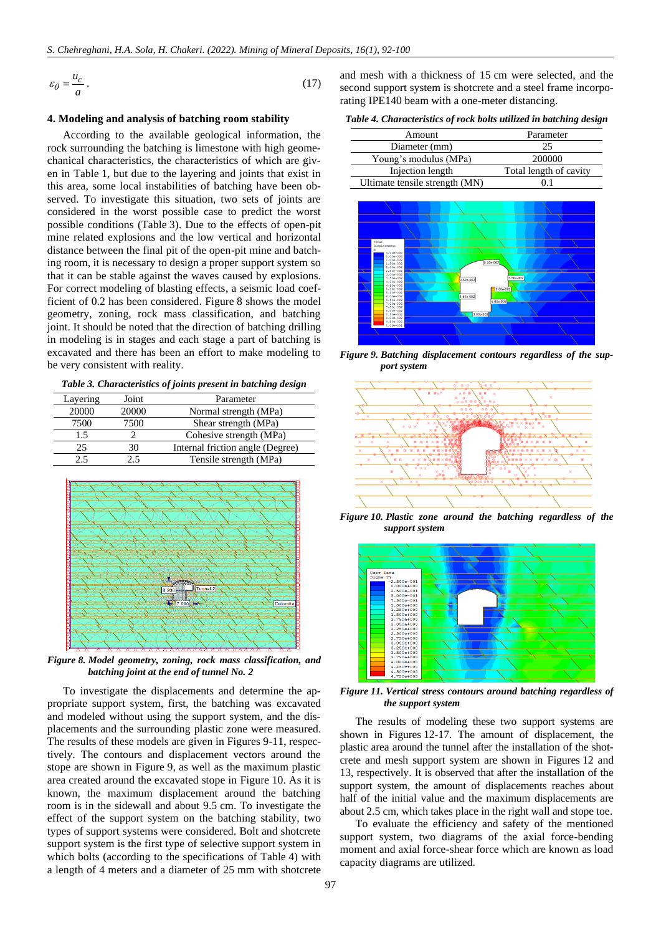$$
\varepsilon_{\theta} = \frac{u_c}{a} \,. \tag{17}
$$

#### **4. Modeling and analysis of batching room stability**

(17)<br>
Telling and analysis of batching room stability<br>
corroring to the wailable goological information, the<br>
corroring to the valiable goological information, the<br>
corroring to the valiable goods information of the sign-<br> According to the available geological information, the rock surrounding the batching is limestone with high geomechanical characteristics, the characteristics of which are given in Table 1, but due to the layering and joints that exist in this area, some local instabilities of batching have been observed. To investigate this situation, two sets of joints are considered in the worst possible case to predict the worst possible conditions (Table 3). Due to the effects of open-pit mine related explosions and the low vertical and horizontal distance between the final pit of the open-pit mine and batching room, it is necessary to design a proper support system so that it can be stable against the waves caused by explosions. For correct modeling of blasting effects, a seismic load coefficient of 0.2 has been considered. Figure 8 shows the model geometry, zoning, rock mass classification, and batching joint. It should be noted that the direction of batching drilling in modeling is in stages and each stage a part of batching is excavated and there has been an effort to make modeling to be very consistent with reality.

*Table 3. Characteristics of joints present in batching design*

| Layering | Joint | Parameter                        |
|----------|-------|----------------------------------|
| 20000    | 20000 | Normal strength (MPa)            |
| 7500     | 7500  | Shear strength (MPa)             |
| 1.5      |       | Cohesive strength (MPa)          |
| 25       | 30    | Internal friction angle (Degree) |
| 25       |       | Tensile strength (MPa)           |



*Figure 8. Model geometry, zoning, rock mass classification, and batching joint at the end of tunnel No. 2*

To investigate the displacements and determine the appropriate support system, first, the batching was excavated and modeled without using the support system, and the displacements and the surrounding plastic zone were measured. The results of these models are given in Figures 9-11, respectively. The contours and displacement vectors around the stope are shown in Figure 9, as well as the maximum plastic area created around the excavated stope in Figure 10. As it is known, the maximum displacement around the batching room is in the sidewall and about 9.5 cm. To investigate the effect of the support system on the batching stability, two types of support systems were considered. Bolt and shotcrete support system is the first type of selective support system in which bolts (according to the specifications of Table 4) with a length of 4 meters and a diameter of 25 mm with shotcrete

and mesh with a thickness of 15 cm were selected, and the second support system is shotcrete and a steel frame incorporating IPE140 beam with a one-meter distancing.

*Table 4. Characteristics of rock bolts utilized in batching design*

| Amount                         | Parameter              |  |  |  |
|--------------------------------|------------------------|--|--|--|
| Diameter (mm)                  | 25                     |  |  |  |
| Young's modulus (MPa)          | 200000                 |  |  |  |
| Injection length               | Total length of cavity |  |  |  |
| Ultimate tensile strength (MN) |                        |  |  |  |



*Figure 9. Batching displacement contours regardless of the support system*



*Figure 10. Plastic zone around the batching regardless of the support system*



*Figure 11. Vertical stress contours around batching regardless of the support system*

The results of modeling these two support systems are shown in Figures 12-17. The amount of displacement, the plastic area around the tunnel after the installation of the shotcrete and mesh support system are shown in Figures 12 and 13, respectively. It is observed that after the installation of the support system, the amount of displacements reaches about half of the initial value and the maximum displacements are about 2.5 cm, which takes place in the right wall and stope toe.

To evaluate the efficiency and safety of the mentioned support system, two diagrams of the axial force-bending moment and axial force-shear force which are known as load capacity diagrams are utilized.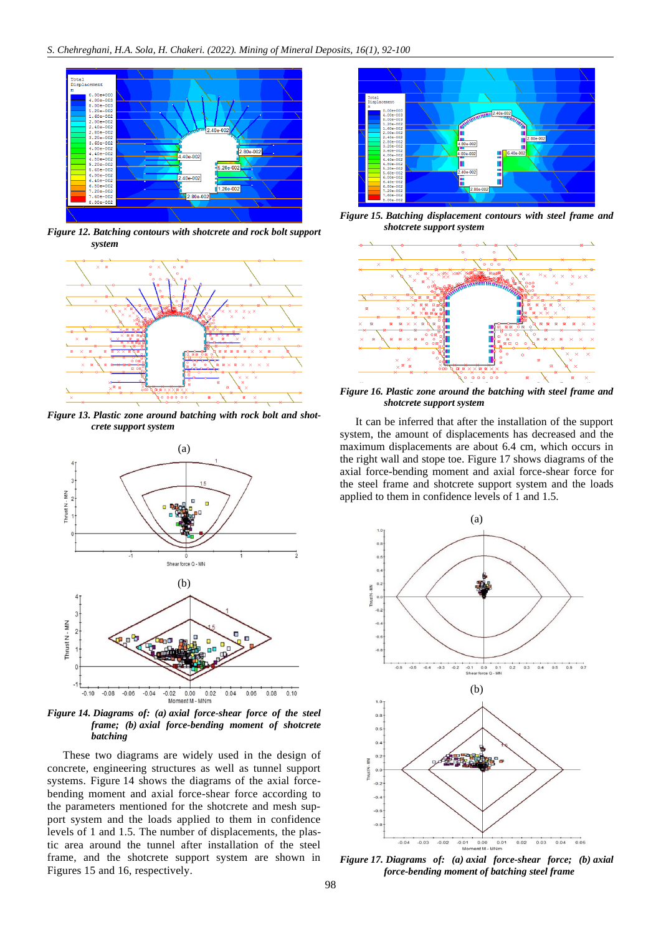

*Figure 12. Batching contours with shotcrete and rock bolt support system*



*Figure 13. Plastic zone around batching with rock bolt and shotcrete support system*



*Figure 14. Diagrams of: (a) axial force-shear force of the steel frame; (b) axial force-bending moment of shotcrete batching*

These two diagrams are widely used in the design of concrete, engineering structures as well as tunnel support systems. Figure 14 shows the diagrams of the axial forcebending moment and axial force-shear force according to the parameters mentioned for the shotcrete and mesh support system and the loads applied to them in confidence levels of 1 and 1.5. The number of displacements, the plastic area around the tunnel after installation of the steel frame, and the shotcrete support system are shown in Figures 15 and 16, respectively.



*Figure 15. Batching displacement contours with steel frame and shotcrete support system*



*Figure 16. Plastic zone around the batching with steel frame and shotcrete support system*

It can be inferred that after the installation of the support system, the amount of displacements has decreased and the maximum displacements are about 6.4 cm, which occurs in the right wall and stope toe. Figure 17 shows diagrams of the axial force-bending moment and axial force-shear force for the steel frame and shotcrete support system and the loads applied to them in confidence levels of 1 and 1.5.



*Figure 17. Diagrams of: (a) axial force-shear force; (b) axial force-bending moment of batching steel frame*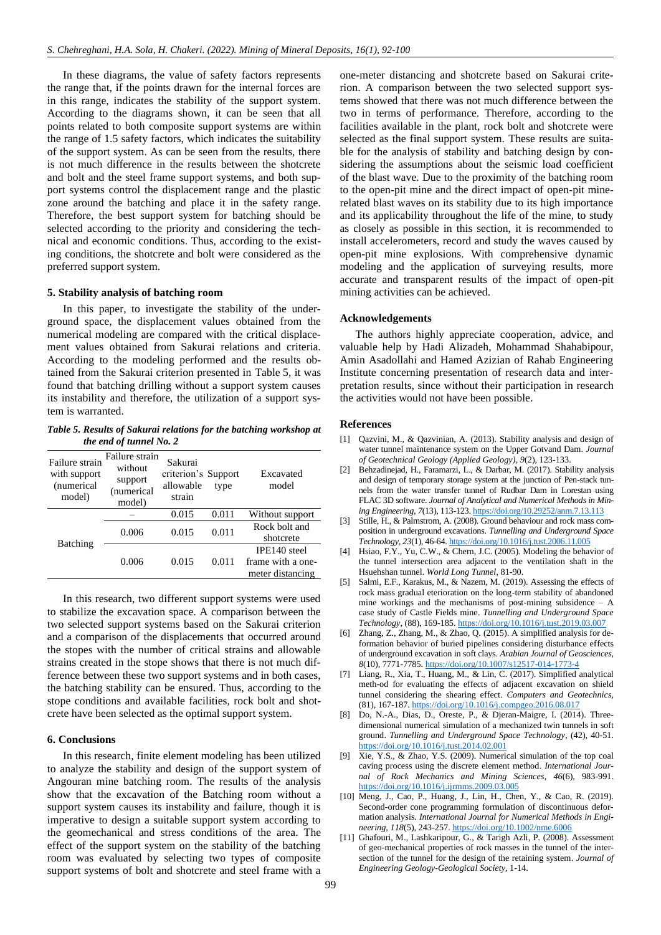In these diagrams, the value of safety factors represents the range that, if the points drawn for the internal forces are in this range, indicates the stability of the support system. According to the diagrams shown, it can be seen that all points related to both composite support systems are within the range of 1.5 safety factors, which indicates the suitability of the support system. As can be seen from the results, there is not much difference in the results between the shotcrete and bolt and the steel frame support systems, and both support systems control the displacement range and the plastic zone around the batching and place it in the safety range. Therefore, the best support system for batching should be selected according to the priority and considering the technical and economic conditions. Thus, according to the existing conditions, the shotcrete and bolt were considered as the preferred support system.

#### **5. Stability analysis of batching room**

In this paper, to investigate the stability of the underground space, the displacement values obtained from the numerical modeling are compared with the critical displacement values obtained from Sakurai relations and criteria. According to the modeling performed and the results obtained from the Sakurai criterion presented in Table 5, it was found that batching drilling without a support system causes its instability and therefore, the utilization of a support system is warranted.

*Table 5. Results of Sakurai relations for the batching workshop at the end of tunnel No. 2*

| Failure strain<br>with support<br>(numerical<br>model) | Failure strain<br>without<br>support<br>(numerical<br>model) | Sakurai<br>criterion's Support<br>allowable<br>strain | type  | Excavated<br>model |  |
|--------------------------------------------------------|--------------------------------------------------------------|-------------------------------------------------------|-------|--------------------|--|
| Batching                                               |                                                              | 0.015                                                 | 0.011 | Without support    |  |
|                                                        | 0.006                                                        | 0.015                                                 | 0.011 | Rock bolt and      |  |
|                                                        |                                                              |                                                       |       | shotcrete          |  |
|                                                        | 0.006                                                        | 0.015                                                 |       | IPE140 steel       |  |
|                                                        |                                                              |                                                       | 0.011 | frame with a one-  |  |
|                                                        |                                                              |                                                       |       | meter distancing   |  |

In this research, two different support systems were used to stabilize the excavation space. A comparison between the two selected support systems based on the Sakurai criterion and a comparison of the displacements that occurred around the stopes with the number of critical strains and allowable strains created in the stope shows that there is not much difference between these two support systems and in both cases, the batching stability can be ensured. Thus, according to the stope conditions and available facilities, rock bolt and shotcrete have been selected as the optimal support system.

## **6. Conclusions**

In this research, finite element modeling has been utilized to analyze the stability and design of the support system of Angouran mine batching room. The results of the analysis show that the excavation of the Batching room without a support system causes its instability and failure, though it is imperative to design a suitable support system according to the geomechanical and stress conditions of the area. The effect of the support system on the stability of the batching room was evaluated by selecting two types of composite support systems of bolt and shotcrete and steel frame with a one-meter distancing and shotcrete based on Sakurai criterion. A comparison between the two selected support systems showed that there was not much difference between the two in terms of performance. Therefore, according to the facilities available in the plant, rock bolt and shotcrete were selected as the final support system. These results are suitable for the analysis of stability and batching design by considering the assumptions about the seismic load coefficient of the blast wave. Due to the proximity of the batching room to the open-pit mine and the direct impact of open-pit minerelated blast waves on its stability due to its high importance and its applicability throughout the life of the mine, to study as closely as possible in this section, it is recommended to install accelerometers, record and study the waves caused by open-pit mine explosions. With comprehensive dynamic modeling and the application of surveying results, more accurate and transparent results of the impact of open-pit mining activities can be achieved.

## **Acknowledgements**

The authors highly appreciate cooperation, advice, and valuable help by Hadi Alizadeh, Mohammad Shahabipour, Amin Asadollahi and Hamed Azizian of Rahab Engineering Institute concerning presentation of research data and interpretation results, since without their participation in research the activities would not have been possible.

#### **References**

- <span id="page-7-0"></span>[1] Qazvini, M., & Qazvinian, A. (2013). Stability analysis and design of water tunnel maintenance system on the Upper Gotvand Dam. *Journal of Geotechnical Geology (Applied Geology)*, *9*(2), 123-133.
- <span id="page-7-1"></span>[2] Behzadinejad, H., Faramarzi, L., & Darbar, M. (2017). Stability analysis and design of temporary storage system at the junction of Pen-stack tunnels from the water transfer tunnel of Rudbar Dam in Lorestan using FLAC 3D software. *Journal of Analytical and Numerical Methods in Mining Engineering*, *7*(13), 113-123. <https://doi.org/10.29252/anm.7.13.113>
- <span id="page-7-2"></span>[3] Stille, H., & Palmstrom, A. (2008). Ground behaviour and rock mass composition in underground excavations. *Tunnelling and Underground Space Technology*, *23*(1), 46-64. <https://doi.org/10.1016/j.tust.2006.11.005>
- <span id="page-7-3"></span>[4] Hsiao, F.Y., Yu, C.W., & Chern, J.C. (2005). Modeling the behavior of the tunnel intersection area adjacent to the ventilation shaft in the Hsuehshan tunnel. *World Long Tunnel*, 81-90.
- <span id="page-7-4"></span>[5] Salmi, E.F., Karakus, M., & Nazem, M. (2019). Assessing the effects of rock mass gradual eterioration on the long-term stability of abandoned mine workings and the mechanisms of post-mining subsidence  $-$  A case study of Castle Fields mine. *Tunnelling and Underground Space Technology*, (88), 169-185. <https://doi.org/10.1016/j.tust.2019.03.007>
- <span id="page-7-5"></span>[6] Zhang, Z., Zhang, M., & Zhao, Q. (2015). A simplified analysis for deformation behavior of buried pipelines considering disturbance effects of underground excavation in soft clays. *Arabian Journal of Geosciences*, *8*(10), 7771-7785. <https://doi.org/10.1007/s12517-014-1773-4>
- <span id="page-7-6"></span>[7] Liang, R., Xia, T., Huang, M., & Lin, C. (2017). Simplified analytical meth-od for evaluating the effects of adjacent excavation on shield tunnel considering the shearing effect. *Computers and Geotechnics*, (81), 167-187. <https://doi.org/10.1016/j.compgeo.2016.08.017>
- <span id="page-7-7"></span>[8] Do, N.-A., Dias, D., Oreste, P., & Djeran-Maigre, I. (2014). Threedimensional numerical simulation of a mechanized twin tunnels in soft ground. *Tunnelling and Underground Space Technology*, (42), 40-51. <https://doi.org/10.1016/j.tust.2014.02.001>
- <span id="page-7-8"></span>[9] Xie, Y.S., & Zhao, Y.S. (2009). Numerical simulation of the top coal caving process using the discrete element method. *International Journal of Rock Mechanics and Mining Sciences*, *46*(6), 983-991. <https://doi.org/10.1016/j.ijrmms.2009.03.005>
- <span id="page-7-9"></span>[10] Meng, J., Cao, P., Huang, J., Lin, H., Chen, Y., & Cao, R. (2019). Second-order cone programming formulation of discontinuous deformation analysis. *International Journal for Numerical Methods in Engineering*, *118*(5), 243-257. <https://doi.org/10.1002/nme.6006>
- <span id="page-7-10"></span>[11] Ghafouri, M., Lashkaripour, G., & Tarigh Azli, P. (2008). Assessment of geo-mechanical properties of rock masses in the tunnel of the intersection of the tunnel for the design of the retaining system. *Journal of Engineering Geology-Geological Society*, 1-14.